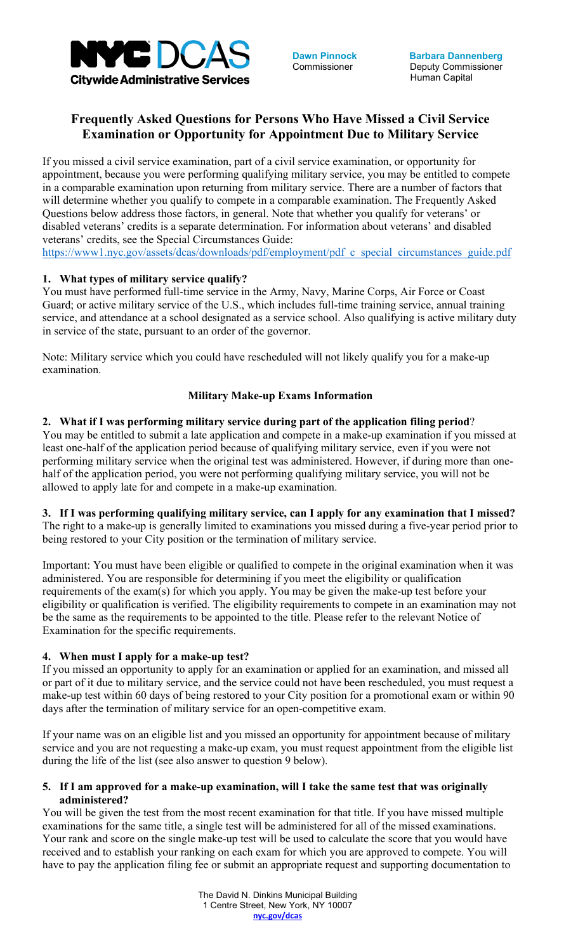

**Dawn Pinnock** Commissioner

# **Frequently Asked Questions for Persons Who Have Missed a Civil Service Examination or Opportunity for Appointment Due to Military Service**

If you missed a civil service examination, part of a civil service examination, or opportunity for appointment, because you were performing qualifying military service, you may be entitled to compete in a comparable examination upon returning from military service. There are a number of factors that will determine whether you qualify to compete in a comparable examination. The Frequently Asked Questions below address those factors, in general. Note that whether you qualify for veterans' or disabled veterans' credits is a separate determination. For information about veterans' and disabled veterans' credits, see the Special Circumstances Guide:

[https://www1.nyc.gov/assets/dcas/downloads/pdf/employment/pdf\\_c\\_special\\_circumstances\\_guide.pdf](https://www1.nyc.gov/assets/dcas/downloads/pdf/employment/pdf_c_special_circumstances_guide.pdf)

# **1. What types of military service qualify?**

You must have performed full-time service in the Army, Navy, Marine Corps, Air Force or Coast Guard; or active military service of the U.S., which includes full-time training service, annual training service, and attendance at a school designated as a service school. Also qualifying is active military duty in service of the state, pursuant to an order of the governor.

Note: Military service which you could have rescheduled will not likely qualify you for a make-up examination.

## **Military Make-up Exams Information**

## **2. What if I was performing military service during part of the application filing period**?

You may be entitled to submit a late application and compete in a make-up examination if you missed at least one-half of the application period because of qualifying military service, even if you were not performing military service when the original test was administered. However, if during more than onehalf of the application period, you were not performing qualifying military service, you will not be allowed to apply late for and compete in a make-up examination.

**3. If I was performing qualifying military service, can I apply for any examination that I missed?**  The right to a make-up is generally limited to examinations you missed during a five-year period prior to being restored to your City position or the termination of military service.

Important: You must have been eligible or qualified to compete in the original examination when it was administered. You are responsible for determining if you meet the eligibility or qualification requirements of the exam(s) for which you apply. You may be given the make-up test before your eligibility or qualification is verified. The eligibility requirements to compete in an examination may not be the same as the requirements to be appointed to the title. Please refer to the relevant Notice of Examination for the specific requirements.

# **4. When must I apply for a make-up test?**

If you missed an opportunity to apply for an examination or applied for an examination, and missed all or part of it due to military service, and the service could not have been rescheduled, you must request a make-up test within 60 days of being restored to your City position for a promotional exam or within 90 days after the termination of military service for an open-competitive exam.

If your name was on an eligible list and you missed an opportunity for appointment because of military service and you are not requesting a make-up exam, you must request appointment from the eligible list during the life of the list (see also answer to question 9 below).

#### **5. If I am approved for a make-up examination, will I take the same test that was originally administered?**

You will be given the test from the most recent examination for that title. If you have missed multiple examinations for the same title, a single test will be administered for all of the missed examinations. Your rank and score on the single make-up test will be used to calculate the score that you would have received and to establish your ranking on each exam for which you are approved to compete. You will have to pay the application filing fee or submit an appropriate request and supporting documentation to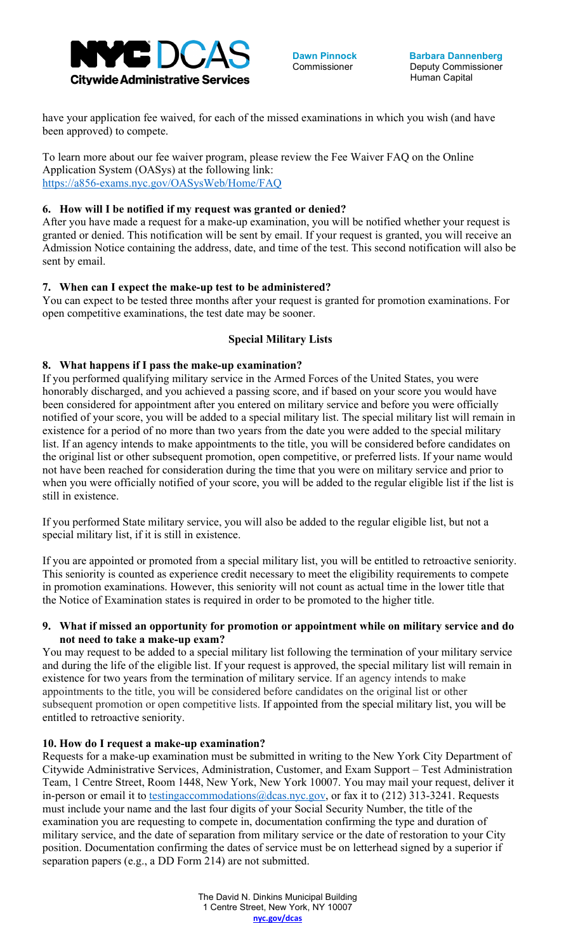

**Dawn Pinnock Commissioner** 

have your application fee waived, for each of the missed examinations in which you wish (and have been approved) to compete.

To learn more about our fee waiver program, please review the Fee Waiver FAQ on the Online Application System (OASys) at the following link: <https://a856-exams.nyc.gov/OASysWeb/Home/FAQ>

# **6. How will I be notified if my request was granted or denied?**

After you have made a request for a make-up examination, you will be notified whether your request is granted or denied. This notification will be sent by email. If your request is granted, you will receive an Admission Notice containing the address, date, and time of the test. This second notification will also be sent by email.

# **7. When can I expect the make-up test to be administered?**

You can expect to be tested three months after your request is granted for promotion examinations. For open competitive examinations, the test date may be sooner.

# **Special Military Lists**

# **8. What happens if I pass the make-up examination?**

If you performed qualifying military service in the Armed Forces of the United States, you were honorably discharged, and you achieved a passing score, and if based on your score you would have been considered for appointment after you entered on military service and before you were officially notified of your score, you will be added to a special military list. The special military list will remain in existence for a period of no more than two years from the date you were added to the special military list. If an agency intends to make appointments to the title, you will be considered before candidates on the original list or other subsequent promotion, open competitive, or preferred lists. If your name would not have been reached for consideration during the time that you were on military service and prior to when you were officially notified of your score, you will be added to the regular eligible list if the list is still in existence.

If you performed State military service, you will also be added to the regular eligible list, but not a special military list, if it is still in existence.

If you are appointed or promoted from a special military list, you will be entitled to retroactive seniority. This seniority is counted as experience credit necessary to meet the eligibility requirements to compete in promotion examinations. However, this seniority will not count as actual time in the lower title that the Notice of Examination states is required in order to be promoted to the higher title.

## **9. What if missed an opportunity for promotion or appointment while on military service and do not need to take a make-up exam?**

You may request to be added to a special military list following the termination of your military service and during the life of the eligible list. If your request is approved, the special military list will remain in existence for two years from the termination of military service. If an agency intends to make appointments to the title, you will be considered before candidates on the original list or other subsequent promotion or open competitive lists. If appointed from the special military list, you will be entitled to retroactive seniority.

# **10. How do I request a make-up examination?**

Requests for a make-up examination must be submitted in writing to the New York City Department of Citywide Administrative Services, Administration, Customer, and Exam Support – Test Administration Team, 1 Centre Street, Room 1448, New York, New York 10007. You may mail your request, deliver it in-person or email it to [testingaccommodations@dcas.nyc.gov,](mailto:testingaccommodations@dcas.nyc.gov) or fax it to (212) 313-3241. Requests must include your name and the last four digits of your Social Security Number, the title of the examination you are requesting to compete in, documentation confirming the type and duration of military service, and the date of separation from military service or the date of restoration to your City position. Documentation confirming the dates of service must be on letterhead signed by a superior if separation papers (e.g., a DD Form 214) are not submitted.